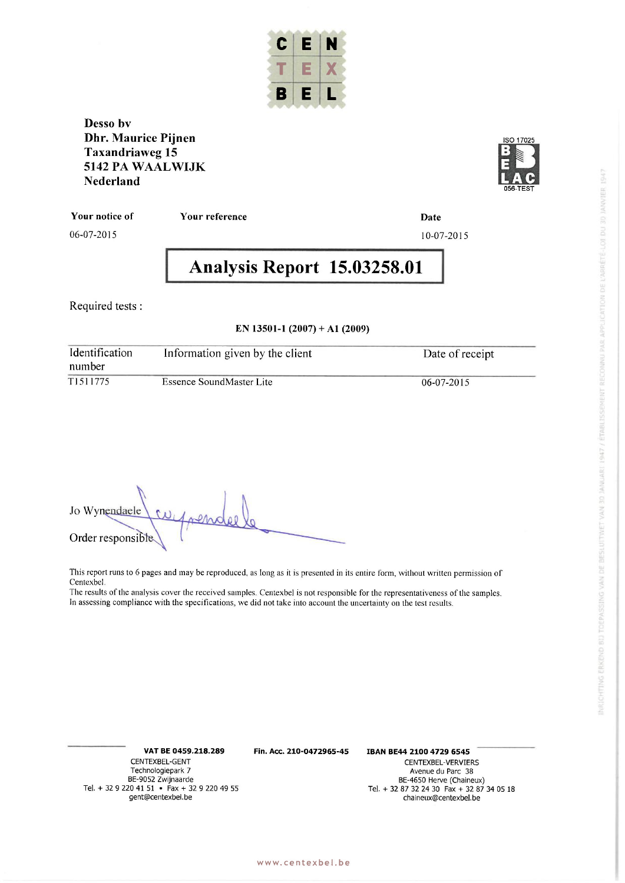

**Desso by Dhr.** Maurice Pijnen **Taxandriawe g 15 5142 P A WAALWIJ <sup>K</sup>**  $Nederland$ 



**You r notic e o f** 

06-07-2015

**Your reference Date** 

# 10-07-201 5

# **Analysi s Repor t 15.03258.0 1**

Required tests :

#### **<sup>E</sup> N 13501- 1 (2007 ) + A l (2009 )**

| Identification<br>number | Information given by the client | Date of receipt  |
|--------------------------|---------------------------------|------------------|
| T1511775                 | Essence SoundMaster Lite        | $06 - 07 - 2015$ |

Jo Wynendaele Order responsible.

This report runs to 6 pages and may be reproduced, as long as it is presented in its entire form, without written permission of Centexbel .

The results of the analysis cover the received samples. Centexbel is not responsible for the representativeness of the samples. In assessing compliance with the specifications, we did not take into account the uncertainty on the test results.

**Tel. + 32 9 220 41 51 • Fax + 32 9 220 49 55**<br>gent@centexbel.be

**V A T B E 0459.218.289 Fin . Acc . 210-0472965-45 IBA N BE4 4 2100 4729 6545** 

**CENTEXBEL-GENT CENTEXBEL-VERVIERS Technologiepark 7 Avenue du Parc 38 BE-9052 Zwijnaarde k 7 Avenue du Parc 38 BE-9052 Zwijnaarde BE-4650 Herve (Chaineux)**<br>**Tel. + 32 87 32 24 30 Fax + 32 87 34 05 18 gent@centexbel.b e chaineux@centexbel.b e**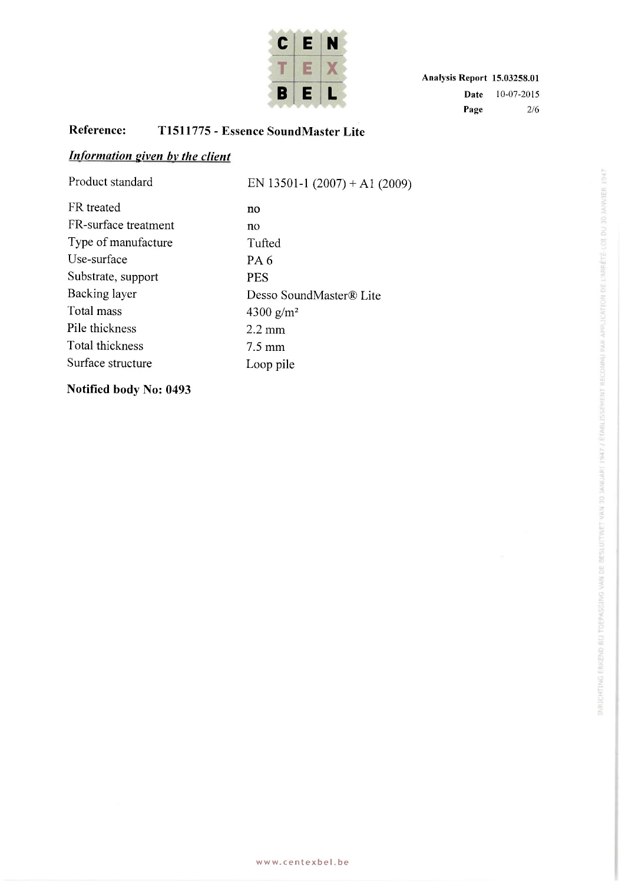

# **Reference : T151177 5 - Essenc e SoundMaste r Lit <sup>e</sup>**

# *Information given by the client*

| Product standard     | EN 13501-1 (2007) + A1 (2009) |
|----------------------|-------------------------------|
| FR treated           | no                            |
| FR-surface treatment | no                            |
| Type of manufacture  | Tufted                        |
| Use-surface          | PA <sub>6</sub>               |
| Substrate, support   | <b>PES</b>                    |
| Backing layer        | Desso SoundMaster® Lite       |
| Total mass           | 4300 g/m <sup>2</sup>         |
| Pile thickness       | $2.2 \text{ mm}$              |
| Total thickness      | $7.5 \text{ mm}$              |
| Surface structure    | Loop pile                     |
|                      |                               |

**Notified body No: 0493**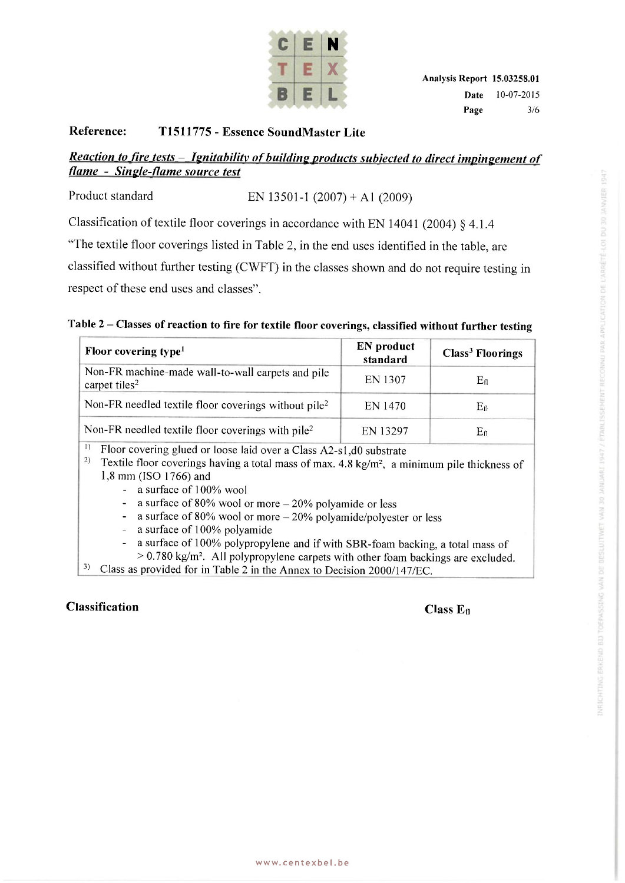

#### **Reference : T151177 5 - Essenc e SoundMaste r Lit <sup>e</sup>**

### *Reaction to fire tests - Ignitabilitv of building products subjected to direct impingement of flame - Single-flame source test*

Product standard EN 13501-1  $(2007) + A1 (2009)$ 

Classification of textile floor coverings in accordance with EN 14041 (2004) § 4.1.4

"The textile floor coverings listed in Table 2, in the end uses identified in the table, are

classified without further testing (CWFT) in the classes shown and do not require testing in respect of these end uses and classes".

#### **Tabl e 2 - Classe s o f reactio n t o fir e fo r textil e floo r coverings , classifie d withou t furthe r testin <sup>g</sup>**

| Floor covering type <sup>1</sup>                                               | <b>EN</b> product<br>standard | Class <sup>3</sup> Floorings |
|--------------------------------------------------------------------------------|-------------------------------|------------------------------|
| Non-FR machine-made wall-to-wall carpets and pile<br>carpet tiles <sup>2</sup> | EN 1307                       | $E_{fl}$                     |
| Non-FR needled textile floor coverings without pile <sup>2</sup>               | EN 1470                       | $E_{\rm fl}$                 |
| Non-FR needled textile floor coverings with pile <sup>2</sup>                  | EN 13297                      | $E_{\rm fl}$                 |

1) Floor covering glued or loose laid over a Class A2-s1, d0 substrate

<sup>2)</sup> Textile floor coverings having a total mass of max.  $4.8 \text{ kg/m}^2$ , a minimum pile thickness of 1,8 mm (ISO 1766) and

- a surface of 100% wool

- a surface of 80% wool or more  $-20%$  polyamide or less

- a surface of 80% wool or more  $-20\%$  polyamide/polyester or less
- a surface of 100% polyamide
- a surface of 100% polypropylene and if with SBR-foam backing, a total mass of

 $>$  0.780 kg/m<sup>2</sup>. All polypropylene carpets with other foam backings are excluded.

3 ) Class as provided for in Table 2 in the Annex to Decision 2000/147/EC.

#### **Classification Class E n**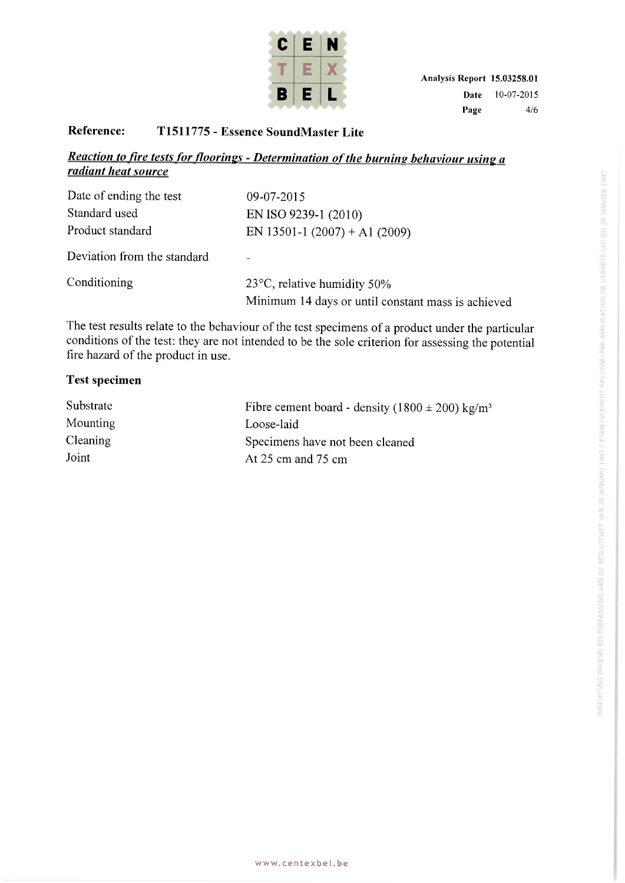

#### **Reference : T151177 5 - Essenc e SoundMaste r Lit <sup>e</sup>**

### *Reaction to fire tests for floorings - Determination of the burnins behaviour using a radiant heat source*

| Date of ending the test     | 09-07-2015                                         |
|-----------------------------|----------------------------------------------------|
| Standard used               | EN ISO 9239-1 (2010)                               |
| Product standard            | EN 13501-1 (2007) + A1 (2009)                      |
| Deviation from the standard | ×.                                                 |
| Conditioning                | $23^{\circ}$ C, relative humidity 50%              |
|                             | Minimum 14 days or until constant mass is achieved |

The test results relate to the behaviour of the test specimens of a product under the particular conditions of the test: they are not intended to be the sole criterion for assessing the potential fire hazard of the product in use.

#### **Test specimen**

| Substrate       | Fibre cement board - density $(1800 \pm 200)$ kg/m <sup>3</sup> |
|-----------------|-----------------------------------------------------------------|
| <b>Mounting</b> | Loose-laid                                                      |
| <b>Cleaning</b> | Specimens have not been cleaned                                 |
| Joint           | At $25 \text{ cm}$ and $75 \text{ cm}$                          |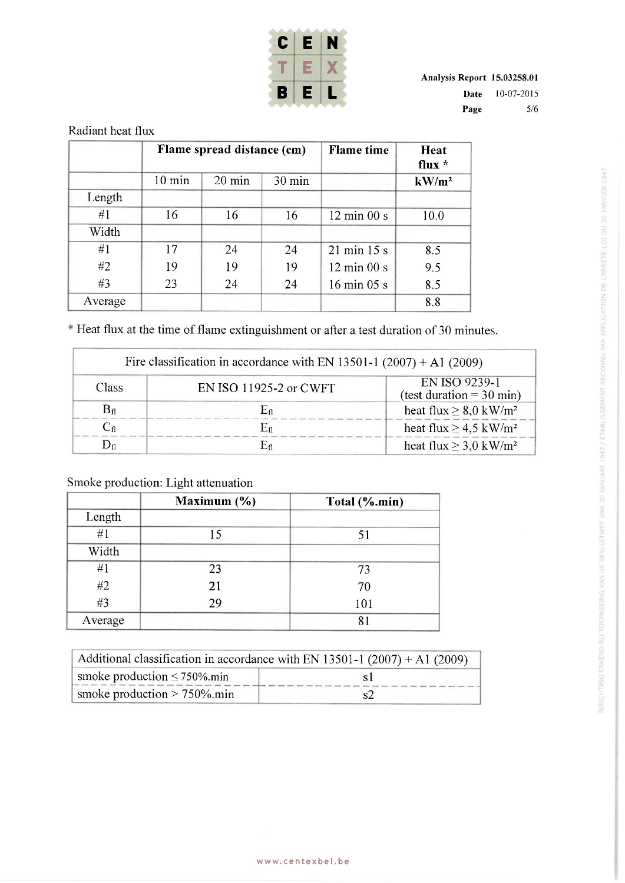

**Analysi s Repor t 15.03258.01 Date** 10-07-2015 **Page** 5/6

|         | Flame spread distance (cm) |        | <b>Flame</b> time | Heat<br>flux $*$               |          |
|---------|----------------------------|--------|-------------------|--------------------------------|----------|
|         | $10 \text{ min}$           | 20 min | $30 \text{ min}$  |                                | $kW/m^2$ |
| Length  |                            |        |                   |                                |          |
| #1      | 16                         | 16     | 16                | $12 \text{ min } 00 \text{ s}$ | 10.0     |
| Width   |                            |        |                   |                                |          |
| #1      | 17                         | 24     | 24                | $21 \text{ min } 15 \text{ s}$ | 8.5      |
| #2      | 19                         | 19     | 19                | $12 \text{ min } 00 \text{ s}$ | 9.5      |
| #3      | 23                         | 24     | 24                | $16 \text{ min } 05 \text{ s}$ | 8.5      |
| Average |                            |        |                   |                                | 8.8      |

\* Heat flux at the time of flame extinguishment or after a test duration of 30 minutes.

|                   | Fire classification in accordance with EN 13501-1 (2007) + A1 (2009) |                                                      |  |
|-------------------|----------------------------------------------------------------------|------------------------------------------------------|--|
| Class             | EN ISO 11925-2 or CWFT                                               | EN ISO 9239-1<br>(test duration = $30 \text{ min}$ ) |  |
| $B_{fl}$          | $\mathrm{E}_{\mathrm{fl}}$                                           | heat flux $\geq 8.0$ kW/m <sup>2</sup>               |  |
| $\mathrm{C_{fl}}$ | Eп                                                                   | heat flux $\geq$ 4.5 kW/m <sup>2</sup>               |  |
|                   |                                                                      | heat flux $\geq$ 3,0 kW/m <sup>2</sup>               |  |

# Smoke production: Light attenuation

|         | Maximum (%) | Total (%.min) |
|---------|-------------|---------------|
| Length  |             |               |
| #1      | 15          | 51            |
| Width   |             |               |
| #1      | 23          | 73            |
| #2      | 21          | 70            |
| #3      | 29          | 101           |
| Average |             | 81            |

| Additional classification in accordance with EN 13501-1 (2007) + A1 (2009) |  |  |
|----------------------------------------------------------------------------|--|--|
| smoke production $\leq 750\%$ min                                          |  |  |
| smoke production $> 750\%$ .min                                            |  |  |